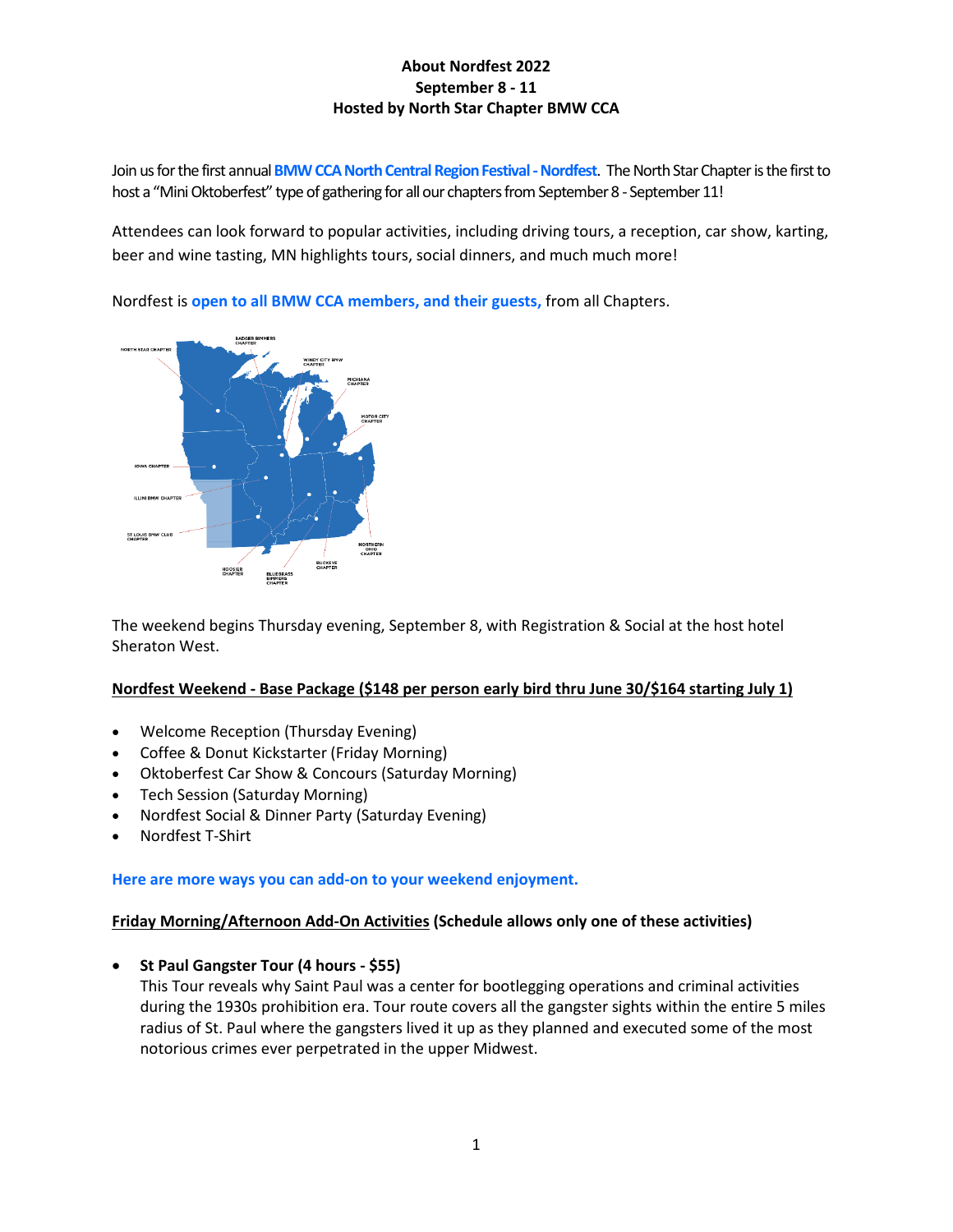Join us for the first annual **BMW CCA North Central Region Festival -Nordfest**. The North Star Chapter is the first to host a "Mini Oktoberfest" type of gathering for all our chapters from September 8 - September 11!

Attendees can look forward to popular activities, including driving tours, a reception, car show, karting, beer and wine tasting, MN highlights tours, social dinners, and much much more!

Nordfest is **open to all BMW CCA members, and their guests,** from all Chapters.



The weekend begins Thursday evening, September 8, with Registration & Social at the host hotel Sheraton West.

### **Nordfest Weekend - Base Package (\$148 per person early bird thru June 30/\$164 starting July 1)**

- Welcome Reception (Thursday Evening)
- Coffee & Donut Kickstarter (Friday Morning)
- Oktoberfest Car Show & Concours (Saturday Morning)
- Tech Session (Saturday Morning)
- Nordfest Social & Dinner Party (Saturday Evening)
- Nordfest T-Shirt

### **Here are more ways you can add-on to your weekend enjoyment.**

### **Friday Morning/Afternoon Add-On Activities (Schedule allows only one of these activities)**

**St Paul Gangster Tour (4 hours - \$55)**

This Tour reveals why Saint Paul was a center for bootlegging operations and criminal activities during the 1930s prohibition era. Tour route covers all the gangster sights within the entire 5 miles radius of St. Paul where the gangsters lived it up as they planned and executed some of the most notorious crimes ever perpetrated in the upper Midwest.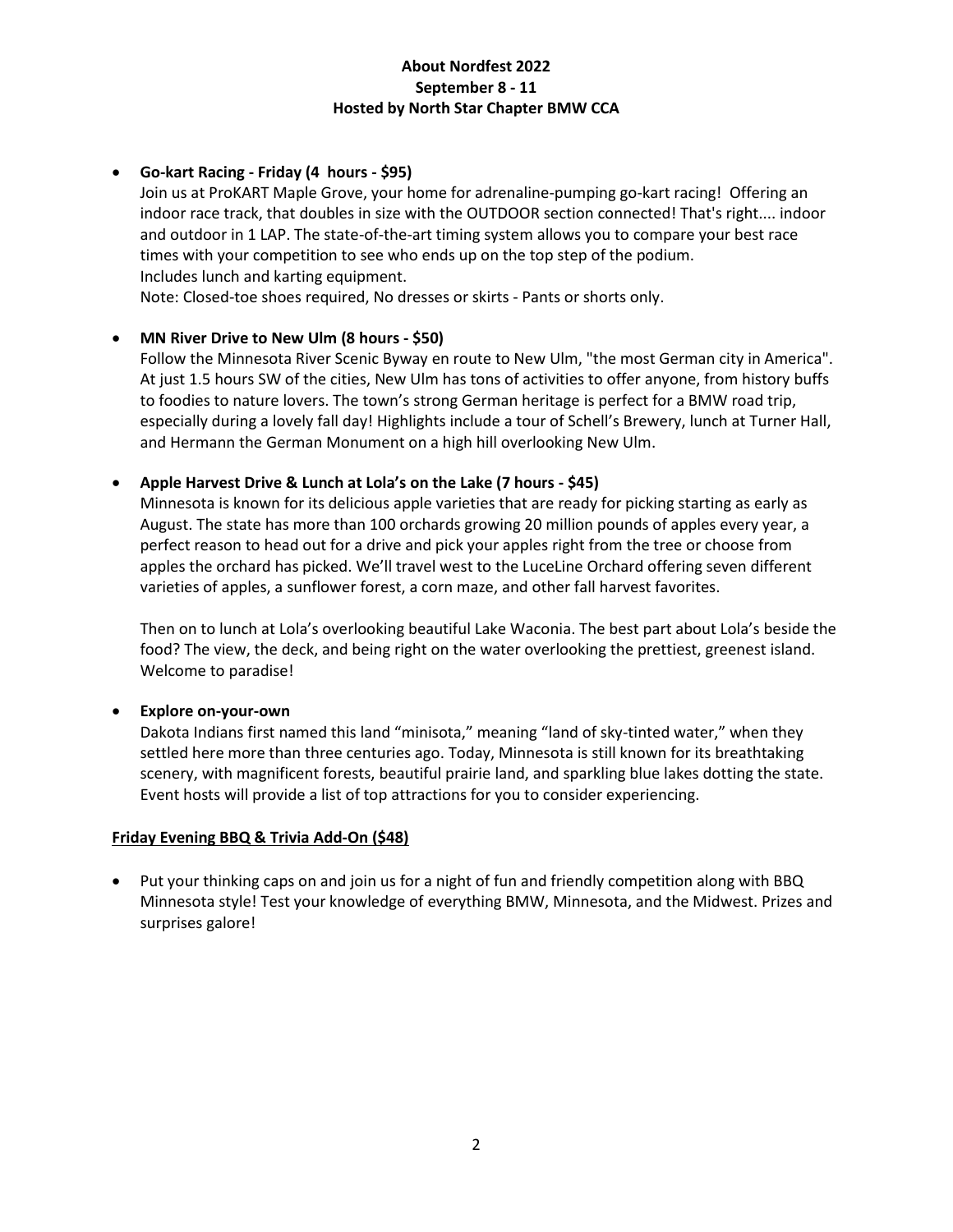# **Go-kart Racing - Friday (4 hours - \$95)**

Join us at ProKART Maple Grove, your home for adrenaline-pumping go-kart racing! Offering an indoor race track, that doubles in size with the OUTDOOR section connected! That's right.... indoor and outdoor in 1 LAP. The state-of-the-art timing system allows you to compare your best race times with your competition to see who ends up on the top step of the podium. Includes lunch and karting equipment.

Note: Closed-toe shoes required, No dresses or skirts - Pants or shorts only.

### **MN River Drive to New Ulm (8 hours - \$50)**

Follow the Minnesota River Scenic Byway en route to New Ulm, "the most German city in America". At just 1.5 hours SW of the cities, New Ulm has tons of activities to offer anyone, from history buffs to foodies to nature lovers. The town's strong German heritage is perfect for a BMW road trip, especially during a lovely fall day! Highlights include a tour of Schell's Brewery, lunch at Turner Hall, and Hermann the German Monument on a high hill overlooking New Ulm.

### **Apple Harvest Drive & Lunch at Lola's on the Lake (7 hours - \$45)**

Minnesota is known for its delicious apple varieties that are ready for picking starting as early as August. The state has more than 100 orchards growing 20 million pounds of apples every year, a perfect reason to head out for a drive and pick your apples right from the tree or choose from apples the orchard has picked. We'll travel west to the LuceLine Orchard offering seven different varieties of apples, a sunflower forest, a corn maze, and other fall harvest favorites.

Then on to lunch at Lola's overlooking beautiful Lake Waconia. The best part about Lola's beside the food? The view, the deck, and being right on the water overlooking the prettiest, greenest island. Welcome to paradise!

### **Explore on-your-own**

Dakota Indians first named this land "minisota," meaning "land of sky-tinted water," when they settled here more than three centuries ago. Today, Minnesota is still known for its breathtaking scenery, with magnificent forests, beautiful prairie land, and sparkling blue lakes dotting the state. Event hosts will provide a list of top attractions for you to consider experiencing.

# **Friday Evening BBQ & Trivia Add-On (\$48)**

 Put your thinking caps on and join us for a night of fun and friendly competition along with BBQ Minnesota style! Test your knowledge of everything BMW, Minnesota, and the Midwest. Prizes and surprises galore!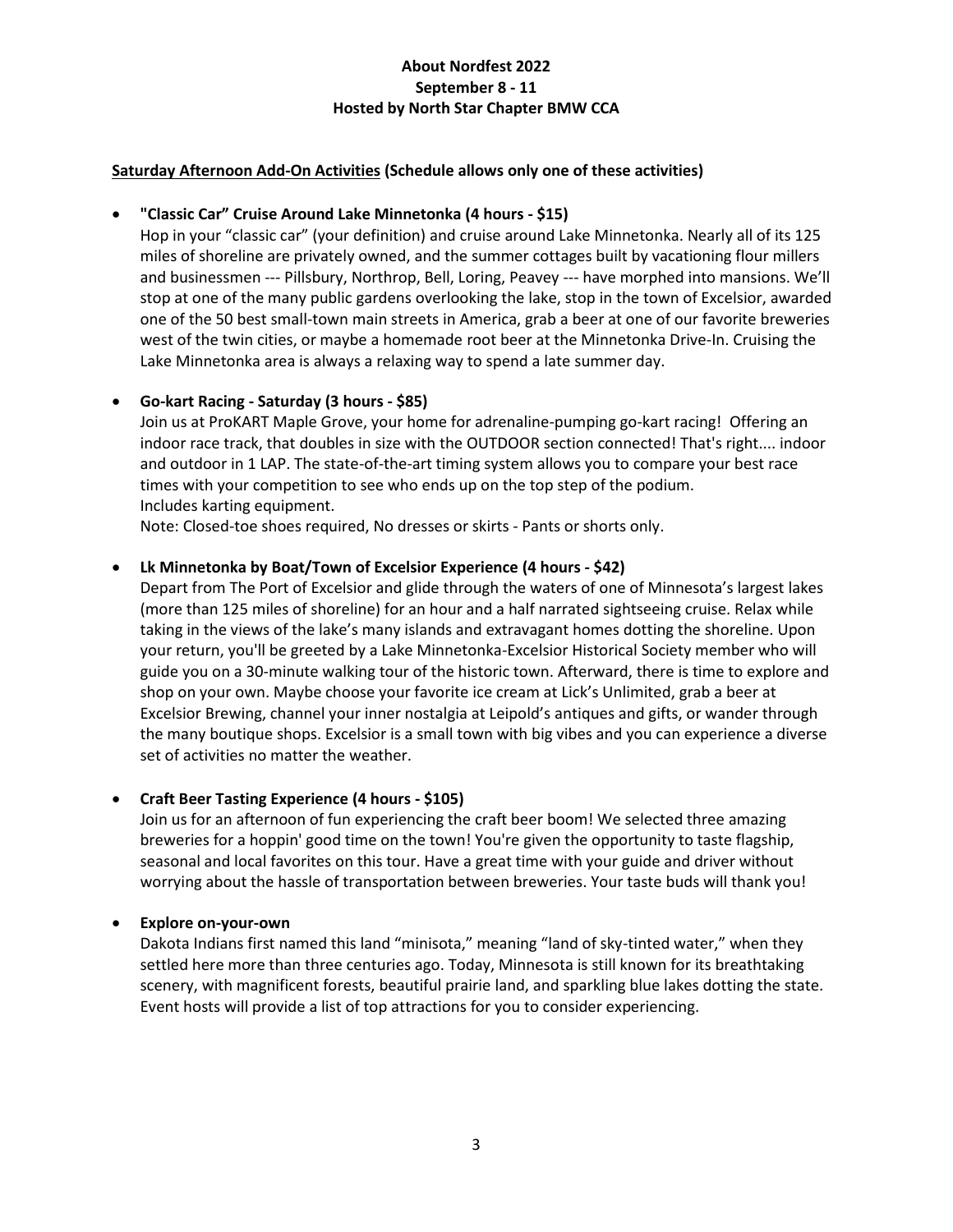### **Saturday Afternoon Add-On Activities (Schedule allows only one of these activities)**

### **"Classic Car" Cruise Around Lake Minnetonka (4 hours - \$15)**

Hop in your "classic car" (your definition) and cruise around Lake Minnetonka. Nearly all of its 125 miles of shoreline are privately owned, and the summer cottages built by vacationing flour millers and businessmen --- Pillsbury, Northrop, Bell, Loring, Peavey --- have morphed into mansions. We'll stop at one of the many public gardens overlooking the lake, stop in the town of Excelsior, awarded one of the 50 best small-town main streets in America, grab a beer at one of our favorite breweries west of the twin cities, or maybe a homemade root beer at the Minnetonka Drive-In. Cruising the Lake Minnetonka area is always a relaxing way to spend a late summer day.

### **Go-kart Racing - Saturday (3 hours - \$85)**

Join us at ProKART Maple Grove, your home for adrenaline-pumping go-kart racing! Offering an indoor race track, that doubles in size with the OUTDOOR section connected! That's right.... indoor and outdoor in 1 LAP. The state-of-the-art timing system allows you to compare your best race times with your competition to see who ends up on the top step of the podium. Includes karting equipment.

Note: Closed-toe shoes required, No dresses or skirts - Pants or shorts only.

### **Lk Minnetonka by Boat/Town of Excelsior Experience (4 hours - \$42)**

Depart from The Port of Excelsior and glide through the waters of one of Minnesota's largest lakes (more than 125 miles of shoreline) for an hour and a half narrated sightseeing cruise. Relax while taking in the views of the lake's many islands and extravagant homes dotting the shoreline. Upon your return, you'll be greeted by a Lake Minnetonka-Excelsior Historical Society member who will guide you on a 30-minute walking tour of the historic town. Afterward, there is time to explore and shop on your own. Maybe choose your favorite ice cream at Lick's Unlimited, grab a beer at Excelsior Brewing, channel your inner nostalgia at Leipold's antiques and gifts, or wander through the many boutique shops. Excelsior is a small town with big vibes and you can experience a diverse set of activities no matter the weather.

### **Craft Beer Tasting Experience (4 hours - \$105)**

Join us for an afternoon of fun experiencing the craft beer boom! We selected three amazing breweries for a hoppin' good time on the town! You're given the opportunity to taste flagship, seasonal and local favorites on this tour. Have a great time with your guide and driver without worrying about the hassle of transportation between breweries. Your taste buds will thank you!

### **Explore on-your-own**

Dakota Indians first named this land "minisota," meaning "land of sky-tinted water," when they settled here more than three centuries ago. Today, Minnesota is still known for its breathtaking scenery, with magnificent forests, beautiful prairie land, and sparkling blue lakes dotting the state. Event hosts will provide a list of top attractions for you to consider experiencing.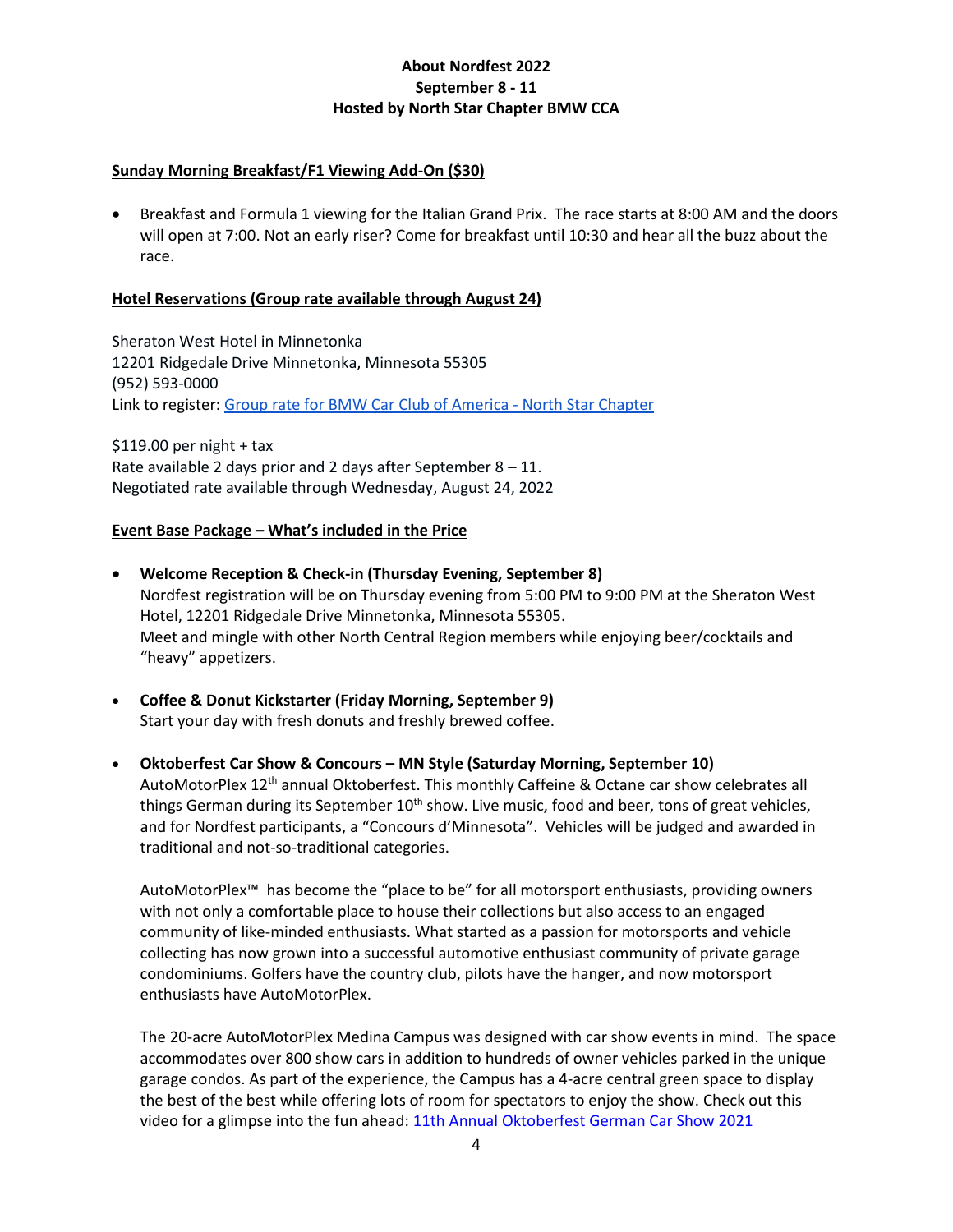### **Sunday Morning Breakfast/F1 Viewing Add-On (\$30)**

 Breakfast and Formula 1 viewing for the Italian Grand Prix. The race starts at 8:00 AM and the doors will open at 7:00. Not an early riser? Come for breakfast until 10:30 and hear all the buzz about the race.

### **Hotel Reservations (Group rate available through August 24)**

Sheraton West Hotel in Minnetonka 12201 Ridgedale Drive Minnetonka, Minnesota 55305 (952) 593-0000 Link to register: Group rate for BMW Car Club of America - North Star Chapter

 $$119.00$  per night + tax Rate available 2 days prior and 2 days after September  $8 - 11$ . Negotiated rate available through Wednesday, August 24, 2022

### **Event Base Package – What's included in the Price**

- **Welcome Reception & Check-in (Thursday Evening, September 8)** Nordfest registration will be on Thursday evening from 5:00 PM to 9:00 PM at the Sheraton West Hotel, 12201 Ridgedale Drive Minnetonka, Minnesota 55305. Meet and mingle with other North Central Region members while enjoying beer/cocktails and "heavy" appetizers.
- **Coffee & Donut Kickstarter (Friday Morning, September 9)** Start your day with fresh donuts and freshly brewed coffee.
- **Oktoberfest Car Show & Concours – MN Style (Saturday Morning, September 10)** AutoMotorPlex 12th annual Oktoberfest. This monthly Caffeine & Octane car show celebrates all things German during its September  $10^{th}$  show. Live music, food and beer, tons of great vehicles, and for Nordfest participants, a "Concours d'Minnesota". Vehicles will be judged and awarded in traditional and not-so-traditional categories.

AutoMotorPlex™ has become the "place to be" for all motorsport enthusiasts, providing owners with not only a comfortable place to house their collections but also access to an engaged community of like-minded enthusiasts. What started as a passion for motorsports and vehicle collecting has now grown into a successful automotive enthusiast community of private garage condominiums. Golfers have the country club, pilots have the hanger, and now motorsport enthusiasts have AutoMotorPlex.

The 20-acre AutoMotorPlex Medina Campus was designed with car show events in mind. The space accommodates over 800 show cars in addition to hundreds of owner vehicles parked in the unique garage condos. As part of the experience, the Campus has a 4-acre central green space to display the best of the best while offering lots of room for spectators to enjoy the show. Check out this video for a glimpse into the fun ahead: 11th Annual Oktoberfest German Car Show 2021